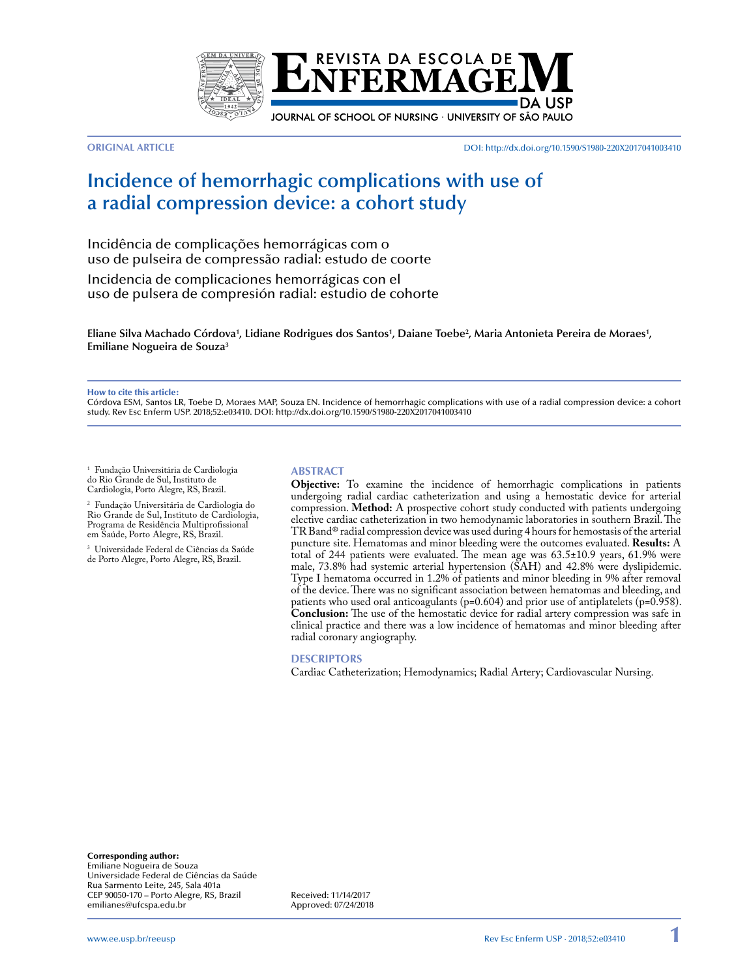

**ORIGINAL ARTICLE** DOI: http://dx.doi.org/10.1590/S1980-220X2017041003410

# **Incidence of hemorrhagic complications with use of a radial compression device: a cohort study**

Incidência de complicações hemorrágicas com o uso de pulseira de compressão radial: estudo de coorte Incidencia de complicaciones hemorrágicas con el

uso de pulsera de compresión radial: estudio de cohorte

Eliane Silva Machado Córdova<sup>1</sup>, Lidiane Rodrigues dos Santos<sup>1</sup>, Daiane Toebe<sup>2</sup>, Maria Antonieta Pereira de Moraes<sup>1</sup>, **Emiliane Nogueira de Souza3**

How to cite this article:

Córdova ESM, Santos LR, Toebe D, Moraes MAP, Souza EN. Incidence of hemorrhagic complications with use of a radial compression device: a cohort study. Rev Esc Enferm USP. 2018;52:e03410. DOI: http://dx.doi.org/10.1590/S1980-220X2017041003410

<sup>1</sup> Fundação Universitária de Cardiologia do Rio Grande de Sul, Instituto de Cardiologia, Porto Alegre, RS, Brazil.

<sup>2</sup> Fundação Universitária de Cardiologia do Rio Grande de Sul, Instituto de Cardiologia, Programa de Residência Multiprofissional em Saúde, Porto Alegre, RS, Brazil.

<sup>3</sup> Universidade Federal de Ciências da Saúde de Porto Alegre, Porto Alegre, RS, Brazil.

## **ABSTRACT**

**Objective:** To examine the incidence of hemorrhagic complications in patients undergoing radial cardiac catheterization and using a hemostatic device for arterial compression. **Method:** A prospective cohort study conducted with patients undergoing elective cardiac catheterization in two hemodynamic laboratories in southern Brazil. The TR Band® radial compression device was used during 4 hours for hemostasis of the arterial puncture site. Hematomas and minor bleeding were the outcomes evaluated. **Results:** A total of 244 patients were evaluated. The mean age was 63.5±10.9 years, 61.9% were male, 73.8% had systemic arterial hypertension (SAH) and 42.8% were dyslipidemic. Type I hematoma occurred in 1.2% of patients and minor bleeding in 9% after removal of the device. There was no significant association between hematomas and bleeding, and patients who used oral anticoagulants (p=0.604) and prior use of antiplatelets (p=0.958). **Conclusion:** The use of the hemostatic device for radial artery compression was safe in clinical practice and there was a low incidence of hematomas and minor bleeding after radial coronary angiography.

## **DESCRIPTORS**

Cardiac Catheterization; Hemodynamics; Radial Artery; Cardiovascular Nursing.

Corresponding author:

Emiliane Nogueira de Souza Universidade Federal de Ciências da Saúde Rua Sarmento Leite, 245, Sala 401a CEP 90050-170 – Porto Alegre, RS, Brazil emilianes@ufcspa.edu.br

Received: 11/14/2017 Approved: 07/24/2018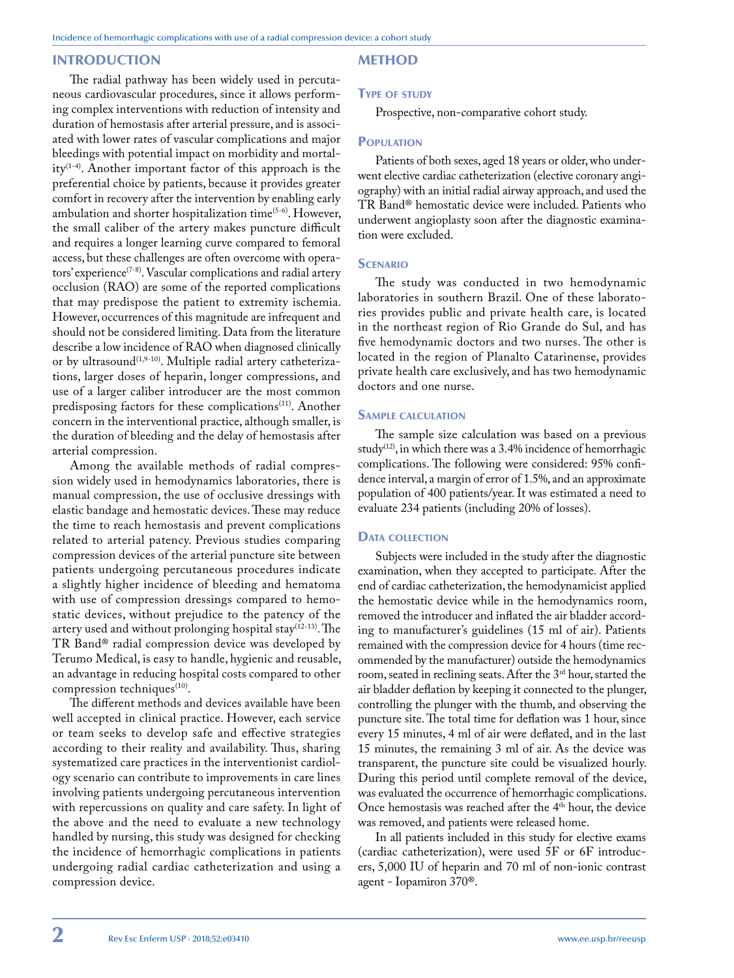# INTRODUCTION

The radial pathway has been widely used in percutaneous cardiovascular procedures, since it allows performing complex interventions with reduction of intensity and duration of hemostasis after arterial pressure, and is associated with lower rates of vascular complications and major bleedings with potential impact on morbidity and mortal $itv^{(1-4)}$ . Another important factor of this approach is the preferential choice by patients, because it provides greater comfort in recovery after the intervention by enabling early ambulation and shorter hospitalization time(5-6). However, the small caliber of the artery makes puncture difficult and requires a longer learning curve compared to femoral access, but these challenges are often overcome with operators' experience(7-8). Vascular complications and radial artery occlusion (RAO) are some of the reported complications that may predispose the patient to extremity ischemia. However, occurrences of this magnitude are infrequent and should not be considered limiting. Data from the literature describe a low incidence of RAO when diagnosed clinically or by ultrasound<sup>(1,9-10)</sup>. Multiple radial artery catheterizations, larger doses of heparin, longer compressions, and use of a larger caliber introducer are the most common predisposing factors for these complications<sup>(11)</sup>. Another concern in the interventional practice, although smaller, is the duration of bleeding and the delay of hemostasis after arterial compression.

Among the available methods of radial compression widely used in hemodynamics laboratories, there is manual compression, the use of occlusive dressings with elastic bandage and hemostatic devices. These may reduce the time to reach hemostasis and prevent complications related to arterial patency. Previous studies comparing compression devices of the arterial puncture site between patients undergoing percutaneous procedures indicate a slightly higher incidence of bleeding and hematoma with use of compression dressings compared to hemostatic devices, without prejudice to the patency of the artery used and without prolonging hospital stay<sup>(12-13)</sup>. The TR Band® radial compression device was developed by Terumo Medical, is easy to handle, hygienic and reusable, an advantage in reducing hospital costs compared to other compression techniques $(10)$ .

The different methods and devices available have been well accepted in clinical practice. However, each service or team seeks to develop safe and effective strategies according to their reality and availability. Thus, sharing systematized care practices in the interventionist cardiology scenario can contribute to improvements in care lines involving patients undergoing percutaneous intervention with repercussions on quality and care safety. In light of the above and the need to evaluate a new technology handled by nursing, this study was designed for checking the incidence of hemorrhagic complications in patients undergoing radial cardiac catheterization and using a compression device.

## METHOD

#### **TYPE OF STUDY**

Prospective, non-comparative cohort study.

## **POPULATION**

Patients of both sexes, aged 18 years or older, who underwent elective cardiac catheterization (elective coronary angiography) with an initial radial airway approach, and used the TR Band® hemostatic device were included. Patients who underwent angioplasty soon after the diagnostic examination were excluded.

## **SCENARIO**

The study was conducted in two hemodynamic laboratories in southern Brazil. One of these laboratories provides public and private health care, is located in the northeast region of Rio Grande do Sul, and has five hemodynamic doctors and two nurses. The other is located in the region of Planalto Catarinense, provides private health care exclusively, and has two hemodynamic doctors and one nurse.

# SAMPLE CALCULATION

The sample size calculation was based on a previous study<sup>(12)</sup>, in which there was a 3.4% incidence of hemorrhagic complications. The following were considered: 95% confidence interval, a margin of error of 1.5%, and an approximate population of 400 patients/year. It was estimated a need to evaluate 234 patients (including 20% of losses).

## DATA COLLECTION

Subjects were included in the study after the diagnostic examination, when they accepted to participate. After the end of cardiac catheterization, the hemodynamicist applied the hemostatic device while in the hemodynamics room, removed the introducer and inflated the air bladder according to manufacturer's guidelines (15 ml of air). Patients remained with the compression device for 4 hours (time recommended by the manufacturer) outside the hemodynamics room, seated in reclining seats. After the 3<sup>rd</sup> hour, started the air bladder deflation by keeping it connected to the plunger, controlling the plunger with the thumb, and observing the puncture site. The total time for deflation was 1 hour, since every 15 minutes, 4 ml of air were deflated, and in the last 15 minutes, the remaining 3 ml of air. As the device was transparent, the puncture site could be visualized hourly. During this period until complete removal of the device, was evaluated the occurrence of hemorrhagic complications. Once hemostasis was reached after the 4<sup>th</sup> hour, the device was removed, and patients were released home.

In all patients included in this study for elective exams (cardiac catheterization), were used 5F or 6F introducers, 5,000 IU of heparin and 70 ml of non-ionic contrast agent - Iopamiron 370®.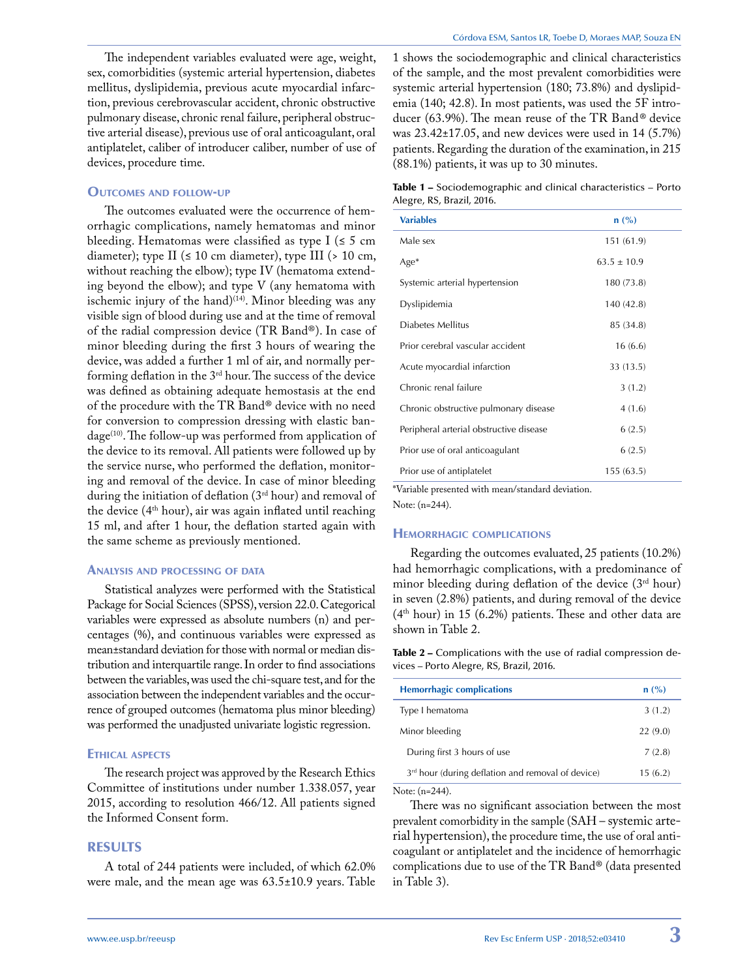The independent variables evaluated were age, weight, sex, comorbidities (systemic arterial hypertension, diabetes mellitus, dyslipidemia, previous acute myocardial infarction, previous cerebrovascular accident, chronic obstructive pulmonary disease, chronic renal failure, peripheral obstructive arterial disease), previous use of oral anticoagulant, oral antiplatelet, caliber of introducer caliber, number of use of devices, procedure time.

# Outcomes and follow-up

The outcomes evaluated were the occurrence of hemorrhagic complications, namely hematomas and minor bleeding. Hematomas were classified as type I ( $\leq$  5 cm diameter); type II ( $\leq 10$  cm diameter), type III ( $> 10$  cm, without reaching the elbow); type IV (hematoma extending beyond the elbow); and type V (any hematoma with ischemic injury of the hand) $(14)$ . Minor bleeding was any visible sign of blood during use and at the time of removal of the radial compression device (TR Band®). In case of minor bleeding during the first 3 hours of wearing the device, was added a further 1 ml of air, and normally performing deflation in the 3rd hour. The success of the device was defined as obtaining adequate hemostasis at the end of the procedure with the TR Band® device with no need for conversion to compression dressing with elastic bandage<sup>(10)</sup>. The follow-up was performed from application of the device to its removal. All patients were followed up by the service nurse, who performed the deflation, monitoring and removal of the device. In case of minor bleeding during the initiation of deflation (3rd hour) and removal of the device (4th hour), air was again inflated until reaching 15 ml, and after 1 hour, the deflation started again with the same scheme as previously mentioned.

## Analysis and processing of data

Statistical analyzes were performed with the Statistical Package for Social Sciences (SPSS), version 22.0. Categorical variables were expressed as absolute numbers (n) and percentages (%), and continuous variables were expressed as mean±standard deviation for those with normal or median distribution and interquartile range. In order to find associations between the variables, was used the chi-square test, and for the association between the independent variables and the occurrence of grouped outcomes (hematoma plus minor bleeding) was performed the unadjusted univariate logistic regression.

## Ethical aspects

The research project was approved by the Research Ethics Committee of institutions under number 1.338.057, year 2015, according to resolution 466/12. All patients signed the Informed Consent form.

## RESULTS

A total of 244 patients were included, of which 62.0% were male, and the mean age was 63.5±10.9 years. Table

1 shows the sociodemographic and clinical characteristics of the sample, and the most prevalent comorbidities were systemic arterial hypertension (180; 73.8%) and dyslipidemia (140; 42.8). In most patients, was used the 5F introducer (63.9%). The mean reuse of the TR Band*®* device was 23.42±17.05, and new devices were used in 14 (5.7%) patients. Regarding the duration of the examination, in 215 (88.1%) patients, it was up to 30 minutes.

Table 1 – Sociodemographic and clinical characteristics – Porto Alegre, RS, Brazil, 2016.

| <b>Variables</b>                        | $n$ (%)         |
|-----------------------------------------|-----------------|
| Male sex                                | 151 (61.9)      |
| $Age*$                                  | $63.5 \pm 10.9$ |
| Systemic arterial hypertension          | 180 (73.8)      |
| Dyslipidemia                            | 140 (42.8)      |
| Diabetes Mellitus                       | 85 (34.8)       |
| Prior cerebral vascular accident        | 16(6.6)         |
| Acute myocardial infarction             | 33 (13.5)       |
| Chronic renal failure                   | 3(1.2)          |
| Chronic obstructive pulmonary disease   | 4(1.6)          |
| Peripheral arterial obstructive disease | 6(2.5)          |
| Prior use of oral anticoagulant         | 6(2.5)          |
| Prior use of antiplatelet               | 155(63.5)       |

\*Variable presented with mean/standard deviation.

Note: (n=244).

#### **HEMORRHAGIC COMPLICATIONS**

Regarding the outcomes evaluated, 25 patients (10.2%) had hemorrhagic complications, with a predominance of minor bleeding during deflation of the device  $(3<sup>rd</sup> hour)$ in seven (2.8%) patients, and during removal of the device  $(4<sup>th</sup> hour)$  in 15  $(6.2%)$  patients. These and other data are shown in Table 2.

Table 2 – Complications with the use of radial compression devices – Porto Alegre, RS, Brazil, 2016.

| <b>Hemorrhagic complications</b>                              | n (%)   |
|---------------------------------------------------------------|---------|
| Type I hematoma                                               | 3(1.2)  |
| Minor bleeding                                                | 22(9.0) |
| During first 3 hours of use                                   | 7(2.8)  |
| 3 <sup>rd</sup> hour (during deflation and removal of device) | 15(6.2) |
| $\mathbf{M}$ $\mathbf{M}$                                     |         |

Note: (n=244).

There was no significant association between the most prevalent comorbidity in the sample (SAH – systemic arterial hypertension), the procedure time, the use of oral anticoagulant or antiplatelet and the incidence of hemorrhagic complications due to use of the TR Band® (data presented in Table 3).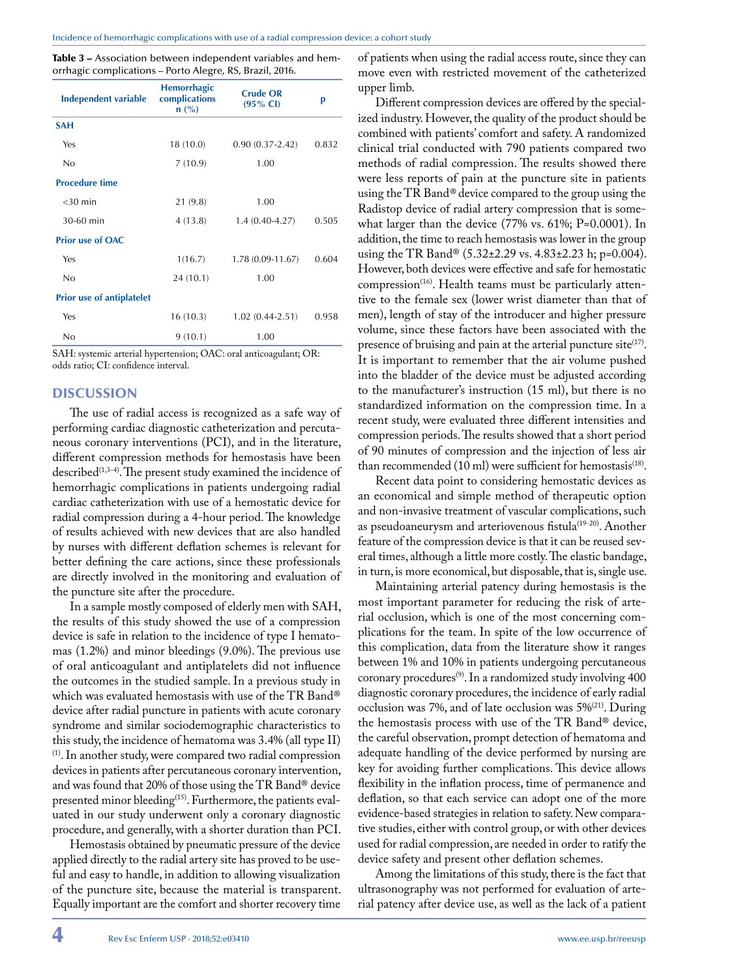| <b>Table 3 –</b> Association between independent variables and hem- |  |  |  |
|---------------------------------------------------------------------|--|--|--|
| orrhagic complications – Porto Alegre, RS, Brazil, 2016.            |  |  |  |

| <b>Independent variable</b>      | <b>Hemorrhagic</b><br>complications<br>$n$ (%) | <b>Crude OR</b><br>$(95\% \text{ Cl})$ | p     |
|----------------------------------|------------------------------------------------|----------------------------------------|-------|
| <b>SAH</b>                       |                                                |                                        |       |
| Yes                              | 18(10.0)                                       | $0.90(0.37-2.42)$                      | 0.832 |
| No                               | 7(10.9)                                        | 1.00                                   |       |
| <b>Procedure time</b>            |                                                |                                        |       |
| $<$ 30 min                       | 21 (9.8)                                       | 1.00                                   |       |
| 30-60 min                        | 4(13.8)                                        | $1.4(0.40-4.27)$                       | 0.505 |
| <b>Prior use of OAC</b>          |                                                |                                        |       |
| Yes                              | 1(16.7)                                        | 1.78 (0.09-11.67)                      | 0.604 |
| No                               | 24(10.1)                                       | 1.00                                   |       |
| <b>Prior use of antiplatelet</b> |                                                |                                        |       |
| Yes                              | 16(10.3)                                       | $1.02(0.44 - 2.51)$                    | 0.958 |
| No                               | 9(10.1)                                        | 1.00                                   |       |
|                                  |                                                |                                        |       |

SAH: systemic arterial hypertension; OAC: oral anticoagulant; OR: odds ratio; CI: confidence interval.

# **DISCUSSION**

The use of radial access is recognized as a safe way of performing cardiac diagnostic catheterization and percutaneous coronary interventions (PCI), and in the literature, different compression methods for hemostasis have been described<sup>(1,3-4)</sup>. The present study examined the incidence of hemorrhagic complications in patients undergoing radial cardiac catheterization with use of a hemostatic device for radial compression during a 4-hour period. The knowledge of results achieved with new devices that are also handled by nurses with different deflation schemes is relevant for better defining the care actions, since these professionals are directly involved in the monitoring and evaluation of the puncture site after the procedure.

In a sample mostly composed of elderly men with SAH, the results of this study showed the use of a compression device is safe in relation to the incidence of type I hematomas (1.2%) and minor bleedings (9.0%). The previous use of oral anticoagulant and antiplatelets did not influence the outcomes in the studied sample. In a previous study in which was evaluated hemostasis with use of the TR Band® device after radial puncture in patients with acute coronary syndrome and similar sociodemographic characteristics to this study, the incidence of hematoma was 3.4% (all type II) (1). In another study, were compared two radial compression devices in patients after percutaneous coronary intervention, and was found that 20% of those using the TR Band® device presented minor bleeding<sup>(15)</sup>. Furthermore, the patients evaluated in our study underwent only a coronary diagnostic procedure, and generally, with a shorter duration than PCI.

Hemostasis obtained by pneumatic pressure of the device applied directly to the radial artery site has proved to be useful and easy to handle, in addition to allowing visualization of the puncture site, because the material is transparent. Equally important are the comfort and shorter recovery time of patients when using the radial access route, since they can move even with restricted movement of the catheterized upper limb.

Different compression devices are offered by the specialized industry. However, the quality of the product should be combined with patients' comfort and safety. A randomized clinical trial conducted with 790 patients compared two methods of radial compression. The results showed there were less reports of pain at the puncture site in patients using the TR Band*®* device compared to the group using the Radistop device of radial artery compression that is somewhat larger than the device (77% vs. 61%; P=0.0001). In addition, the time to reach hemostasis was lower in the group using the TR Band® (5.32±2.29 vs. 4.83±2.23 h; p=0.004). However, both devices were effective and safe for hemostatic compression<sup>(16)</sup>. Health teams must be particularly attentive to the female sex (lower wrist diameter than that of men), length of stay of the introducer and higher pressure volume, since these factors have been associated with the presence of bruising and pain at the arterial puncture site $(17)$ . It is important to remember that the air volume pushed into the bladder of the device must be adjusted according to the manufacturer's instruction (15 ml), but there is no standardized information on the compression time. In a recent study, were evaluated three different intensities and compression periods. The results showed that a short period of 90 minutes of compression and the injection of less air than recommended  $(10 \text{ ml})$  were sufficient for hemostasis<sup> $(18)$ </sup>.

Recent data point to considering hemostatic devices as an economical and simple method of therapeutic option and non-invasive treatment of vascular complications, such as pseudoaneurysm and arteriovenous fistula<sup>(19-20)</sup>. Another feature of the compression device is that it can be reused several times, although a little more costly. The elastic bandage, in turn, is more economical, but disposable, that is, single use.

Maintaining arterial patency during hemostasis is the most important parameter for reducing the risk of arterial occlusion, which is one of the most concerning complications for the team. In spite of the low occurrence of this complication, data from the literature show it ranges between 1% and 10% in patients undergoing percutaneous coronary procedures<sup>(9)</sup>. In a randomized study involving 400 diagnostic coronary procedures, the incidence of early radial occlusion was 7%, and of late occlusion was 5%(21). During the hemostasis process with use of the TR Band® device, the careful observation, prompt detection of hematoma and adequate handling of the device performed by nursing are key for avoiding further complications. This device allows flexibility in the inflation process, time of permanence and deflation, so that each service can adopt one of the more evidence-based strategies in relation to safety. New comparative studies, either with control group, or with other devices used for radial compression, are needed in order to ratify the device safety and present other deflation schemes.

Among the limitations of this study, there is the fact that ultrasonography was not performed for evaluation of arterial patency after device use, as well as the lack of a patient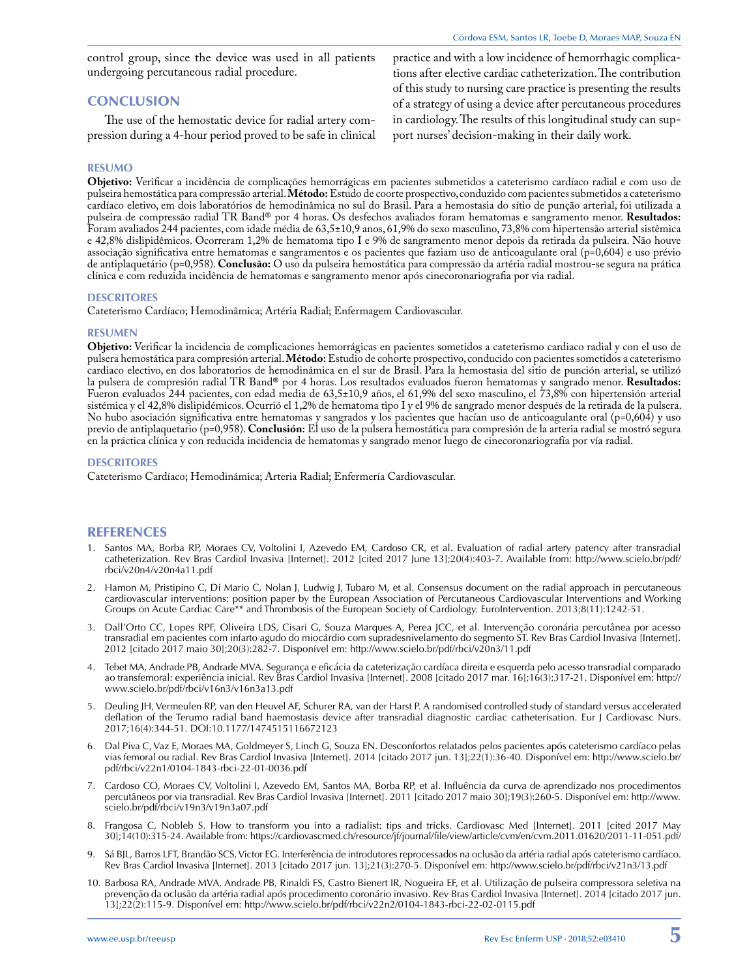control group, since the device was used in all patients undergoing percutaneous radial procedure.

## **CONCLUSION**

The use of the hemostatic device for radial artery compression during a 4-hour period proved to be safe in clinical

#### **RESUMO**

practice and with a low incidence of hemorrhagic complications after elective cardiac catheterization. The contribution of this study to nursing care practice is presenting the results of a strategy of using a device after percutaneous procedures in cardiology. The results of this longitudinal study can support nurses' decision-making in their daily work.

**Objetivo:** Verificar a incidência de complicações hemorrágicas em pacientes submetidos a cateterismo cardíaco radial e com uso de pulseira hemostática para compressão arterial. **Método:** Estudo de coorte prospectivo, conduzido com pacientes submetidos a cateterismo cardíaco eletivo, em dois laboratórios de hemodinâmica no sul do Brasil. Para a hemostasia do sítio de punção arterial, foi utilizada a pulseira de compressão radial TR Band® por 4 horas. Os desfechos avaliados foram hematomas e sangramento menor. **Resultados:** Foram avaliados 244 pacientes, com idade média de 63,5±10,9 anos, 61,9% do sexo masculino, 73,8% com hipertensão arterial sistêmica e 42,8% dislipidêmicos. Ocorreram 1,2% de hematoma tipo I e 9% de sangramento menor depois da retirada da pulseira. Não houve associação significativa entre hematomas e sangramentos e os pacientes que faziam uso de anticoagulante oral (p=0,604) e uso prévio de antiplaquetário (p=0,958). **Conclusão:** O uso da pulseira hemostática para compressão da artéria radial mostrou-se segura na prática clínica e com reduzida incidência de hematomas e sangramento menor após cinecoronariografia por via radial.

## **DESCRITORES**

Cateterismo Cardíaco; Hemodinâmica; Artéria Radial; Enfermagem Cardiovascular.

#### **RESUMEN**

**Objetivo:** Verificar la incidencia de complicaciones hemorrágicas en pacientes sometidos a cateterismo cardiaco radial y con el uso de pulsera hemostática para compresión arterial. **Método:** Estudio de cohorte prospectivo, conducido con pacientes sometidos a cateterismo cardiaco electivo, en dos laboratorios de hemodinámica en el sur de Brasil. Para la hemostasia del sitio de punción arterial, se utilizó la pulsera de compresión radial TR Band**®** por 4 horas. Los resultados evaluados fueron hematomas y sangrado menor. **Resultados:** Fueron evaluados 244 pacientes, con edad media de 63,5±10,9 años, el 61,9% del sexo masculino, el 73,8% con hipertensión arterial sistémica y el 42,8% dislipidémicos. Ocurrió el 1,2% de hematoma tipo I y el 9% de sangrado menor después de la retirada de la pulsera. No hubo asociación significativa entre hematomas y sangrados y los pacientes que hacían uso de anticoagulante oral (p=0,604) y uso previo de antiplaquetario (p=0,958). **Conclusión:** El uso de la pulsera hemostática para compresión de la arteria radial se mostró segura en la práctica clínica y con reducida incidencia de hematomas y sangrado menor luego de cinecoronariografía por vía radial.

#### **DESCRITORES**

Cateterismo Cardíaco; Hemodinámica; Arteria Radial; Enfermería Cardiovascular.

## **REFERENCES**

- 1. Santos MA, Borba RP, Moraes CV, Voltolini I, Azevedo EM, Cardoso CR, et al. Evaluation of radial artery patency after transradial catheterization. Rev Bras Cardiol Invasiva [Internet]. 2012 [cited 2017 June 13];20(4):403-7. Available from: http://www.scielo.br/pdf/ rbci/v20n4/v20n4a11.pdf
- 2. Hamon M, Pristipino C, Di Mario C, Nolan J, Ludwig J, Tubaro M, et al. Consensus document on the radial approach in percutaneous cardiovascular interventions: position paper by the European Association of Percutaneous Cardiovascular Interventions and Working Groups on Acute Cardiac Care\*\* and Thrombosis of the European Society of Cardiology. EuroIntervention. 2013;8(11):1242-51.
- 3. Dall'Orto CC, Lopes RPF, Oliveira LDS, Cisari G, Souza Marques A, Perea JCC, et al. Intervenção coronária percutânea por acesso transradial em pacientes com infarto agudo do miocárdio com supradesnivelamento do segmento ST. Rev Bras Cardiol Invasiva [Internet]. 2012 [citado 2017 maio 30];20(3):282-7. Disponível em: http://www.scielo.br/pdf/rbci/v20n3/11.pdf
- 4. Tebet MA, Andrade PB, Andrade MVA. Segurança e eficácia da cateterização cardíaca direita e esquerda pelo acesso transradial comparado ao transfemoral: experiência inicial. Rev Bras Cardiol Invasiva [Internet]. 2008 [citado 2017 mar. 16];16(3):317-21. Disponível em: http:// www.scielo.br/pdf/rbci/v16n3/v16n3a13.pdf
- 5. Deuling JH, Vermeulen RP, van den Heuvel AF, Schurer RA, van der Harst P. A randomised controlled study of standard versus accelerated deflation of the Terumo radial band haemostasis device after transradial diagnostic cardiac catheterisation. Eur J Cardiovasc Nurs. 2017;16(4):344-51. DOI:10.1177/1474515116672123
- 6. Dal Piva C, Vaz E, Moraes MA, Goldmeyer S, Linch G, Souza EN. Desconfortos relatados pelos pacientes após cateterismo cardíaco pelas vias femoral ou radial. Rev Bras Cardiol Invasiva [Internet]. 2014 [citado 2017 jun. 13];22(1):36-40. Disponível em: http://www.scielo.br/ pdf/rbci/v22n1/0104-1843-rbci-22-01-0036.pdf
- 7. Cardoso CO, Moraes CV, Voltolini I, Azevedo EM, Santos MA, Borba RP, et al. Influência da curva de aprendizado nos procedimentos percutâneos por via transradial. Rev Bras Cardiol Invasiva [Internet]. 2011 [citado 2017 maio 30];19(3):260-5. Disponível em: http://www. scielo.br/pdf/rbci/v19n3/v19n3a07.pdf
- 8. Frangosa C, Nobleb S. How to transform you into a radialist: tips and tricks. Cardiovasc Med [Internet]. 2011 [cited 2017 May 30];14(10):315-24. Available from: https://cardiovascmed.ch/resource/jf/journal/file/view/article/cvm/en/cvm.2011.01620/2011-11-051.pdf/
- 9. Sá BJL, Barros LFT, Brandão SCS, Victor EG. Interferência de introdutores reprocessados na oclusão da artéria radial após cateterismo cardíaco. Rev Bras Cardiol Invasiva [Internet]. 2013 [citado 2017 jun. 13];21(3):270-5. Disponível em: <http://www.scielo.br/pdf/rbci/v21n3/13.pdf>
- 10. Barbosa RA, Andrade MVA, Andrade PB, Rinaldi FS, Castro Bienert IR, Nogueira EF, et al. Utilização de pulseira compressora seletiva na prevenção da oclusão da artéria radial após procedimento coronário invasivo. Rev Bras Cardiol Invasiva [Internet]. 2014 [citado 2017 jun. 13];22(2):115-9. Disponível em: http://www.scielo.br/pdf/rbci/v22n2/0104-1843-rbci-22-02-0115.pdf